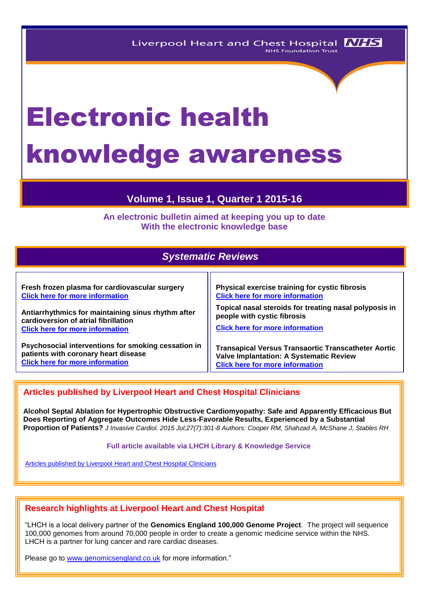# Electronic health knowledge awareness

## **Volume 1, Issue 1, Quarter 1 2015-16**

**An electronic bulletin aimed at keeping you up to date With the electronic knowledge base**

## *Systematic Reviews*

| Fresh frozen plasma for cardiovascular surgery      | Physical exercise training for cystic fibrosis             |
|-----------------------------------------------------|------------------------------------------------------------|
| <b>Click here for more information</b>              | <b>Click here for more information</b>                     |
| Antiarrhythmics for maintaining sinus rhythm after  | Topical nasal steroids for treating nasal polyposis in     |
| cardioversion of atrial fibrillation                | people with cystic fibrosis                                |
| <b>Click here for more information</b>              | <b>Click here for more information</b>                     |
| Psychosocial interventions for smoking cessation in | <b>Transapical Versus Transaortic Transcatheter Aortic</b> |
| patients with coronary heart disease                | <b>Valve Implantation: A Systematic Review</b>             |
| <b>Click here for more information</b>              | <b>Click here for more information</b>                     |

## **Articles published by Liverpool Heart and Chest Hospital Clinicians**

**Alcohol Septal Ablation for Hypertrophic Obstructive Cardiomyopathy: Safe and Apparently Efficacious But Does Reporting of Aggregate Outcomes Hide Less-Favorable Results, Experienced by a Substantial Proportion of Patients?** *J Invasive Cardiol. 2015 Jul;27(7):301-8 Authors: Cooper RM, Shahzad A, McShane J, Stables RH*

#### **Full article available via LHCH Library & Knowledge Service**

[Articles published by Liverpool Heart and Chest Hospital](http://eutils.ncbi.nlm.nih.gov/entrez/eutils/erss.cgi?rss_guid=1jmC0p0kwOiCcrGq4UdlH-eTmaOgJ316E2QW_6DKsMnynMiQ2d) Clinicians

## **Research highlights at Liverpool Heart and Chest Hospital**

"LHCH is a local delivery partner of the **Genomics England 100,000 Genome Project**. The project will sequence 100,000 genomes from around 70,000 people in order to create a genomic medicine service within the NHS. LHCH is a partner for lung cancer and rare cardiac diseases.

Please go to [www.genomicsengland.co.uk](http://www.genomicsengland.co.uk/) for more information."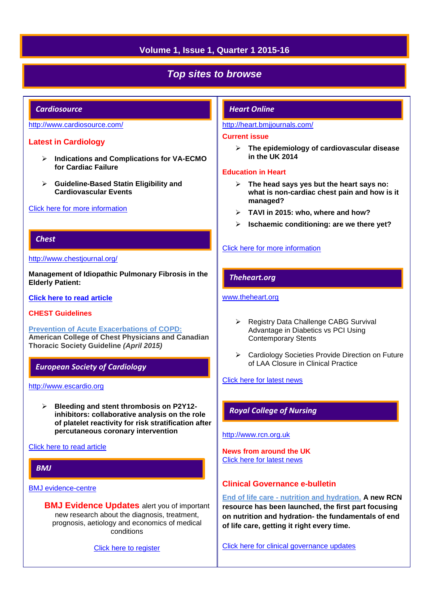## **Volume 1, Issue 1, Quarter 1 2015-16**

## *Top sites to browse*

#### *Cardiosource*

#### <http://www.cardiosource.com/>

#### **Latest in Cardiology**

- **Indications and Complications for VA-ECMO for Cardiac Failure**
- **Guideline-Based Statin Eligibility and Cardiovascular Events**

#### [Click here for more information](http://www.acc.org/latest-in-cardiology?w_nav=MN)

#### *Chest*

#### <http://www.chestjournal.org/>

**Management of Idiopathic Pulmonary Fibrosis in the Elderly Patient:**

#### **[Click here to read article](http://journal.publications.chestnet.org/article.aspx?articleID=2343873)**

#### **CHEST Guidelines**

**[Prevention of Acute Exacerbations of COPD:](http://journal.publications.chestnet.org/article.aspx?articleid=1918414) American College of Chest Physicians and Canadian Thoracic Society Guideline** *(April 2015)*

## *European Society of Cardiology*

[http://www.escardio.org](http://www.escardio.org/Pages/index.aspx)

 **Bleeding and stent thrombosis on P2Y12 inhibitors: collaborative analysis on the role of platelet reactivity for risk stratification after percutaneous coronary intervention**

#### [Click here to read article](http://eurheartj.oxfordjournals.org/content/36/27/1762?rss=1)

## *BMJ*

#### [BMJ evidence-centre](http://plus.mcmaster.ca/EvidenceUpdates/Default.aspx)

**BMJ Evidence Updates** alert you of important new research about the diagnosis, treatment, prognosis, aetiology and economics of medical conditions

[Click here to register](http://plus.mcmaster.ca/EvidenceUpdates/Registration.aspx)

#### *Heart Online*

#### <http://heart.bmjjournals.com/>

#### **Current issue**

 **The epidemiology of cardiovascular disease in the UK 2014**

#### **Education in Heart**

- **The head says yes but the heart says no: what is non-cardiac chest pain and how is it managed?**
- **TAVI in 2015: who, where and how?**
- **Ischaemic conditioning: are we there yet?**

#### [Click here for more information](http://heart.bmj.com/content/current)

#### *Theheart.org*

#### [www.theheart.org](http://www.theheart.org/)

- ▶ Registry Data Challenge CABG Survival Advantage in Diabetics vs PCI Using Contemporary Stents
- ▶ Cardiology Societies Provide Direction on Future of LAA Closure in Clinical Practice

#### [Click here for latest news](http://www.medscape.com/cardiology/news)

#### *Royal College of Nursing*

#### [http://www.rcn.org.uk](http://www.rcn.org.uk/)

**News from around the UK** [Click here for latest news](http://www.rcn.org.uk/newsevents/news)

#### **Clinical Governance e-bulletin**

**End of life care - [nutrition and hydration.](http://rcneolnutritionhydration.org.uk/communication/) A new RCN resource has been launched, the first part focusing on nutrition and hydration- the fundamentals of end of life care, getting it right every time.**

[Click here for clinical governance updates](http://www.rcn.org.uk/development/practice/clinical_governance/quality_and_safety_e-bulletin/e-bulletin_archive)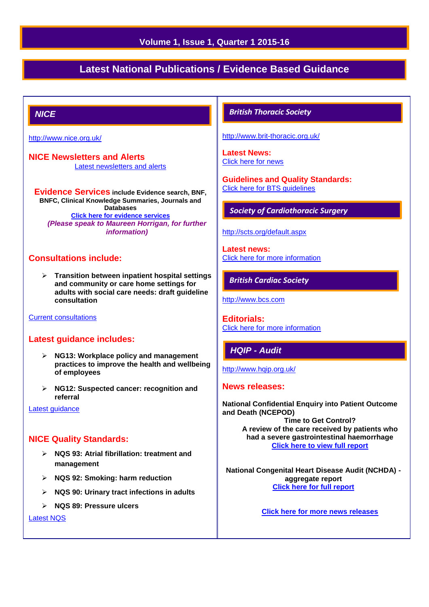## **Volume 1, Issue 1, Quarter 1 2015-16**

# **Latest National Publications / Evidence Based Guidance**

## *NICE*

<http://www.nice.org.uk/>

**NICE Newsletters and Alerts**  [Latest newsletters and alerts](http://www.nice.org.uk/news/nice-newsletters-and-alerts)

**Evidence Services include Evidence search, BNF, BNFC, Clinical Knowledge Summaries, Journals and Databases [Click here for evidence services](https://www.evidence.nhs.uk/)** *(Please speak to Maureen Horrigan, for further information)*

#### **Consultations include:**

 **Transition between inpatient hospital settings and community or care home settings for adults with social care needs: draft guideline consultation**

[Current consultations](http://www.nice.org.uk/getinvolved/currentniceconsultations/current_nice_consultations.jsp)

#### **Latest guidance includes:**

- **NG13: Workplace policy and management practices to improve the health and wellbeing of employees**
- **NG12: Suspected cancer: recognition and referral**

[Latest guidance](http://guidance.nice.org.uk/Date)

#### **NICE Quality Standards:**

- **NQS 93: Atrial fibrillation: treatment and management**
- **NQS 92: Smoking: harm reduction**
- **NQS 90: Urinary tract infections in adults**
- **NQS 89: Pressure ulcers**

[Latest NQS](http://www.nice.org.uk/guidance/qualitystandards/qualitystandards.jsp)

#### *British Thoracic Society*

<http://www.brit-thoracic.org.uk/>

**Latest News:** [Click here for news](https://www.brit-thoracic.org.uk/bts-news/)

**Guidelines and Quality Standards:** [Click here for BTS guidelines](https://www.brit-thoracic.org.uk/guidelines-and-quality-standards/) 

#### *Society of Cardiothoracic Surgery*

#### <http://scts.org/default.aspx>

**Latest news:** [Click here for more information](http://scts.org/modules/news/)

#### *British Cardiac Society*

[http://www.bcs.com](http://www.bcs.com/)

**Editorials:**  [Click here for more information](http://www.bcs.com/editorial/editorial.asp)

#### *HQIP - Audit*

<http://www.hqip.org.uk/>

#### **News releases:**

**National Confidential Enquiry into Patient Outcome and Death (NCEPOD) Time to Get Control? A review of the care received by patients who had a severe gastrointestinal haemorrhage [Click here to view full report](http://www.hqip.org.uk/assets/National-Team-Uploads/CORP/GI-report-links.pdf)**

**National Congenital Heart Disease Audit (NCHDA) aggregate report [Click here for full report](http://www.hqip.org.uk/assets/NCAPOP-Library/NCAPOP-2014-15/NCHDA-Aggregate-report-201114-1.1.pdf)** 

**[Click here for more news releases](http://www.hqip.org.uk/news-releases/)**